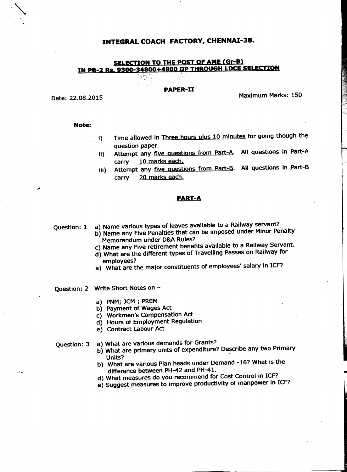## INTEGRAL COACH FACTORY, CHENNAI-38.

# **SELECTION TO THE POST OF AME CGr-Bl IN P8-2 85. 9300=34800+4800 GP THROUGH LDCE SELECTION** :. ,~,-. . '. .

....

#### **PAPER-II**

Date: 22.08.2015

## **Note:**

i) Time allowed in Three hours plus 10 minutes for going though the question paper.

**Maximum Marks: 150** 

- ii) Attempt any five Questions from Part-A. All questions in Part-A carry 10 marks each.
- iii) Attempt any five questions from Part-B. All questions in Part-B carry 20 marks each.

### **PART-A**

Question: 1 a) Name various types of leaves available to a Railway servant?

- b) Name any Five Penalties that can be imposed under Minor Penalty Memorandum under D&A Rules?
- c) Name any Five retirement benefits available to a Railway Servant.
- d) What are the different types of Travelling Passes on Railway for employees?
- a) What are the major constituents of employees' salary in ICF?
- Question: 2 Write Short Notes on
	- a) PNM; JCM; PREM .
	- b) Payment of Wages Act
	- c) Workmen's Compensation Act
	- d) Hours of Employment Regulation
	- e) Contract Labour Act

 $\hat{\mathcal{Z}}$  or

- Question: 3 a) What are various demands for Grants?
	- b) What are primary units of expenditure? Describe any two Primary  $U$ nits are primary annually  $U$
	- b) What are various Plan heads under Demand -16? What is the difference between PH-42 and PH-41.
	- d) What measures do you recommend for Cost Control in ICF?
	- e) Suggest measures to improve productivity of manpower in ICF?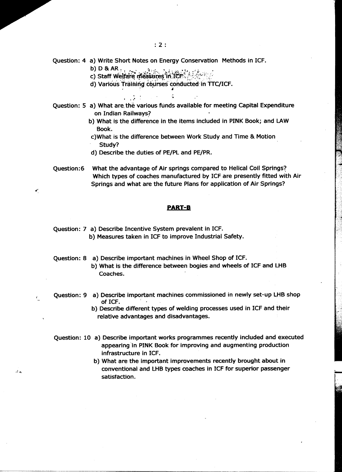$: 2:$ 

Question: 4 a) Write Short Notes on Energy Conservation Methods in ICF.

b) D&AR, ~ ~~,' *.\_·i: ../•••. ;. ;';' .• ~" •.:' ..*

c) Staff Welfare measures in ICF  $\sim$  .

d) Various Training courses conducted in TTC/ICF. ~. .'. 4

> $\ddot{\phantom{a}}$  $1.111$

- Question: 5 a) What are the various funds available for meeting Capital Expenditure on Indian Railways!
	- b) What is the difference in the items included in PINK Book; and LAW Book.
	- c)What is the difference between Work Study and Time & Motion Study?
	- d) Describe the duties of PE/PLand PE/PR.
- Question:6 What the advantage of Air springs compared to Helical Coil Springs? Which types of coaches manufactured by ICF are presently fitted with Air Springs and what are the future Plans for application of Air Springs?

## **PART-B**

Question: 7 a) Describe Incentive System prevalent in ICF. b) Measures taken in ICF to improve Industrial Safety.

نه و.

- Question: 8 a) Describe important machines in Wheel Shop of ICF. b) What is the difference between bogies and wheels of ICF and LHB Coaches.
- Question: 9 a) Describe important machines commissioned in newly set-up LHB shop of ICF. .
	- b) Describe different types of welding processes used in ICF and their relative advantages and disadvantages.
- Question: 10 a) Describe important works programmes recently included and executed appearing in PINK Book for improving and augmenting production infrastructure in ICF.
	- b) What are the important improvements recently brought about in conventional and LHB types coaches in ICF for superior passenger satisfaction.